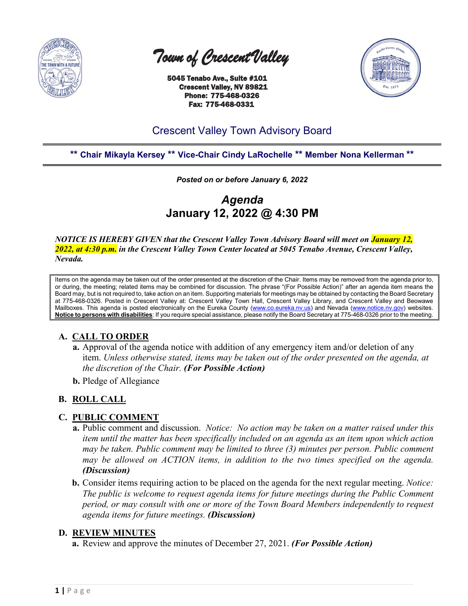

 *Town of Crescent Valley* 

 5045 Tenabo Ave., Suite #101 Crescent Valley, NV 89821 Phone: 775-468-0326 Fax: 775-468-0331



# Crescent Valley Town Advisory Board

# **\*\* Chair Mikayla Kersey \*\* Vice-Chair Cindy LaRochelle \*\* Member Nona Kellerman \*\***

*Posted on or before January 6, 2022*

*Agenda* **January 12, 2022 @ 4:30 PM**

*NOTICE IS HEREBY GIVEN that the Crescent Valley Town Advisory Board will meet on January 12, 2022, at 4:30 p.m. in the Crescent Valley Town Center located at 5045 Tenabo Avenue, Crescent Valley, Nevada.* 

Items on the agenda may be taken out of the order presented at the discretion of the Chair. Items may be removed from the agenda prior to, or during, the meeting; related items may be combined for discussion. The phrase "(For Possible Action)" after an agenda item means the Board may, but is not required to, take action on an item. Supporting materials for meetings may be obtained by contacting the Board Secretary at 775-468-0326. Posted in Crescent Valley at: Crescent Valley Town Hall, Crescent Valley Library, and Crescent Valley and Beowawe Mailboxes. This agenda is posted electronically on the Eureka County [\(www.co.eureka.nv.us\)](http://www.co.eureka.nv.us/) and Nevada [\(www.notice.nv.gov\)](http://www.notice.nv.gov/) websites. **Notice to persons with disabilities**: If you require special assistance, please notify the Board Secretary at 775-468-0326 prior to the meeting.

# **A. CALL TO ORDER**

- **a.** Approval of the agenda notice with addition of any emergency item and/or deletion of any item. *Unless otherwise stated, items may be taken out of the order presented on the agenda, at the discretion of the Chair. (For Possible Action)*
- **b.** Pledge of Allegiance

# **B. ROLL CALL**

#### **C. PUBLIC COMMENT**

- **a.** Public comment and discussion. *Notice: No action may be taken on a matter raised under this item until the matter has been specifically included on an agenda as an item upon which action may be taken. Public comment may be limited to three (3) minutes per person. Public comment may be allowed on ACTION items, in addition to the two times specified on the agenda. (Discussion)*
- **b.** Consider items requiring action to be placed on the agenda for the next regular meeting. *Notice: The public is welcome to request agenda items for future meetings during the Public Comment period, or may consult with one or more of the Town Board Members independently to request agenda items for future meetings. (Discussion)*

#### **D. REVIEW MINUTES**

**a.** Review and approve the minutes of December 27, 2021. *(For Possible Action)*